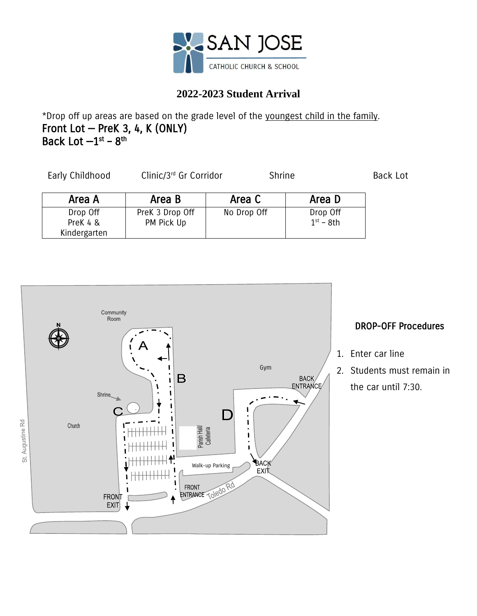

## **2022-2023 Student Arrival**

\*Drop off up areas are based on the grade level of the youngest child in the family. Front Lot — PreK 3, 4, K (ONLY) Back Lot  $-1^\text{st}$  –  $8^\text{th}$ 

| Early Childhood                      | Clinic/3rd Gr Corridor        |             | Shrine                  |  |
|--------------------------------------|-------------------------------|-------------|-------------------------|--|
| Area A                               | Area B                        | Area C      | Area D                  |  |
| Drop Off<br>PreK 4 &<br>Kindergarten | PreK 3 Drop Off<br>PM Pick Up | No Drop Off | Drop Off<br>$1st - 8th$ |  |



## DROP-OFF Procedures

- 1. Enter car line
- 2. Students must remain in the car until 7:30.